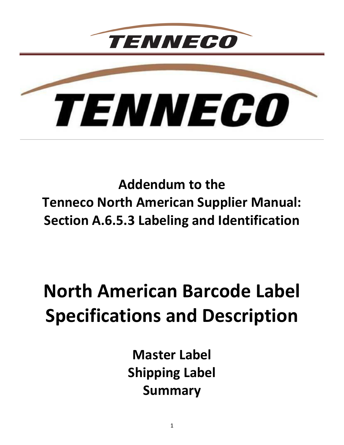

*TENNECO* 

**Addendum to the Tenneco North American Supplier Manual: Section A.6.5.3 Labeling and Identification**

# **North American Barcode Label Specifications and Description**

**Master Label Shipping Label Summary**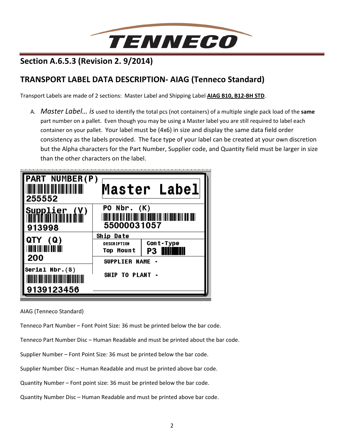

# **Section A.6.5.3 (Revision 2. 9/2014)**

# **TRANSPORT LABEL DATA DESCRIPTION- AIAG (Tenneco Standard)**

Transport Labels are made of 2 sections: Master Label and Shipping Label **AIAG B10, B12-BH STD**.

A. *Master Label… is* used to identify the total pcs (not containers) of a multiple single pack load of the **same** part number on a pallet. Even though you may be using a Master label you are still required to label each container on your pallet. Your label must be (4x6) in size and display the same data field order consistency as the labels provided. The face type of your label can be created at your own discretion but the Alpha characters for the Part Number, Supplier code, and Quantity field must be larger in size than the other characters on the label.



AIAG (Tenneco Standard)

Tenneco Part Number – Font Point Size: 36 must be printed below the bar code.

Tenneco Part Number Disc – Human Readable and must be printed about the bar code.

Supplier Number – Font Point Size: 36 must be printed below the bar code.

Supplier Number Disc – Human Readable and must be printed above bar code.

Quantity Number – Font point size: 36 must be printed below the bar code.

Quantity Number Disc – Human Readable and must be printed above bar code.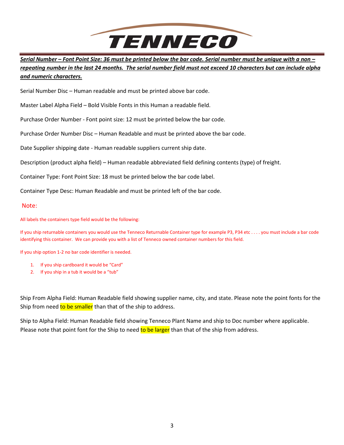

*Serial Number – Font Point Size: 36 must be printed below the bar code. Serial number must be unique with a non – repeating number in the last 24 months. The serial number field must not exceed 10 characters but can include alpha and numeric characters.*

Serial Number Disc – Human readable and must be printed above bar code.

Master Label Alpha Field – Bold Visible Fonts in this Human a readable field.

Purchase Order Number - Font point size: 12 must be printed below the bar code.

Purchase Order Number Disc – Human Readable and must be printed above the bar code.

Date Supplier shipping date - Human readable suppliers current ship date.

Description (product alpha field) – Human readable abbreviated field defining contents (type) of freight.

Container Type: Font Point Size: 18 must be printed below the bar code label.

Container Type Desc: Human Readable and must be printed left of the bar code.

Note:

#### All labels the containers type field would be the following:

If you ship returnable containers you would use the Tenneco Returnable Container type for example P3, P34 etc . . . . you must include a bar code identifying this container. We can provide you with a list of Tenneco owned container numbers for this field.

If you ship option 1-2 no bar code identifier is needed.

- 1. If you ship cardboard it would be "Card"
- 2. If you ship in a tub it would be a "tub"

Ship From Alpha Field: Human Readable field showing supplier name, city, and state. Please note the point fonts for the Ship from need to be smaller than that of the ship to address.

Ship to Alpha Field: Human Readable field showing Tenneco Plant Name and ship to Doc number where applicable. Please note that point font for the Ship to need to be larger than that of the ship from address.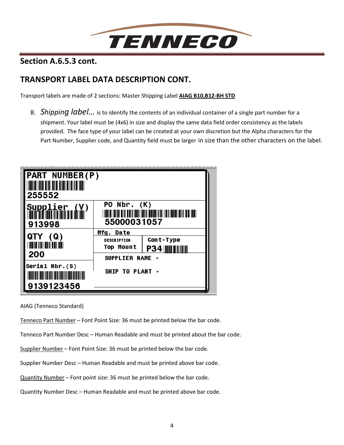

**Section A.6.5.3 cont.** 

# **TRANSPORT LABEL DATA DESCRIPTION CONT.**

Transport labels are made of 2 sections: Master Shipping Label **AIAG B10,B12-BH STD**

B. *Shipping label…* is to identify the contents of an individual container of a single part number for a shipment. Your label must be (4x6) in size and display the same data field order consistency as the labels provided. The face type of your label can be created at your own discretion but the Alpha characters for the Part Number, Supplier code, and Quantity field must be larger in size than the other characters on the label.



AIAG (Tenneco Standard)

Tenneco Part Number – Font Point Size: 36 must be printed below the bar code.

Tenneco Part Number Desc – Human Readable and must be printed about the bar code.

Supplier Number – Font Point Size: 36 must be printed below the bar code.

Supplier Number Desc – Human Readable and must be printed above bar code.

Quantity Number – Font point size: 36 must be printed below the bar code.

Quantity Number Desc – Human Readable and must be printed above bar code.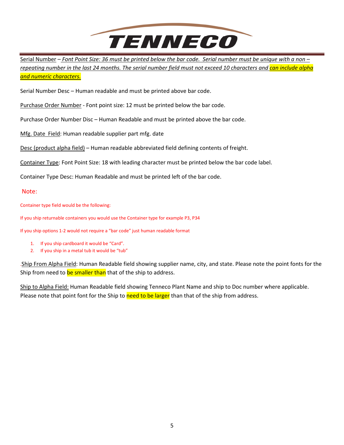

Serial Number – *Font Point Size: 36 must be printed below the bar code. Serial number must be unique with a non – repeating number in the last 24 months. The serial number field must not exceed 10 characters and can include alpha and numeric characters.* 

Serial Number Desc – Human readable and must be printed above bar code.

Purchase Order Number - Font point size: 12 must be printed below the bar code.

Purchase Order Number Disc – Human Readable and must be printed above the bar code.

Mfg. Date Field: Human readable supplier part mfg. date

Desc (product alpha field) – Human readable abbreviated field defining contents of freight.

Container Type: Font Point Size: 18 with leading character must be printed below the bar code label.

Container Type Desc: Human Readable and must be printed left of the bar code.

#### Note:

Container type field would be the following:

If you ship returnable containers you would use the Container type for example P3, P34

If you ship options 1-2 would not require a "bar code" just human readable format

- 1. If you ship cardboard it would be "Card".
- 2. If you ship in a metal tub it would be "tub"

.Ship From Alpha Field: Human Readable field showing supplier name, city, and state. Please note the point fonts for the Ship from need to be smaller than that of the ship to address.

Ship to Alpha Field: Human Readable field showing Tenneco Plant Name and ship to Doc number where applicable. Please note that point font for the Ship to need to be larger than that of the ship from address.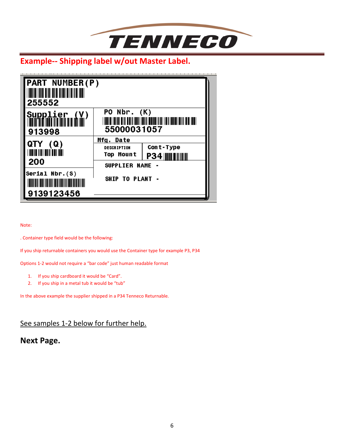

# **Example-- Shipping label w/out Master Label.**

| <b>PART NUMBER(P)</b><br><u>Mil in din an an ainm ann an an </u><br>255552 |                                                                             |                                           |
|----------------------------------------------------------------------------|-----------------------------------------------------------------------------|-------------------------------------------|
| Supplier<br>Millimininininin<br>913998                                     | PO $Nbr. (K)$<br>55000031057                                                |                                           |
| QTY (Q)<br>TOOTHO TION OO IN DOOR I<br>200                                 | Mfg. Date<br><b>DESCRIPTION</b><br><b>Top Mount</b><br><b>SUPPLIER NAME</b> | Cont-Type<br><b>P34 IIII IIIIIII</b><br>۰ |
| Serial $Nbr.(S)$<br>9139123456                                             | SHIP TO PLANT -                                                             |                                           |

Note:

. Container type field would be the following:

If you ship returnable containers you would use the Container type for example P3, P34

Options 1-2 would not require a "bar code" just human readable format

- 1. If you ship cardboard it would be "Card".
- 2. If you ship in a metal tub it would be "tub"

In the above example the supplier shipped in a P34 Tenneco Returnable.

## See samples 1-2 below for further help.

## **Next Page.**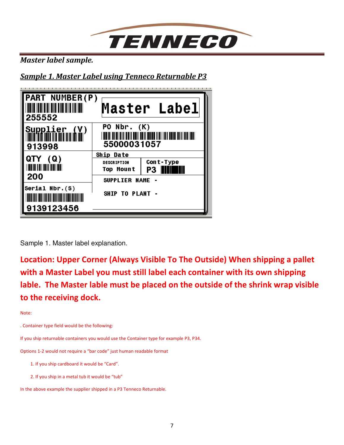

*Master label sample.* 

*Sample 1. Master Label using Tenneco Returnable P3* 



Sample 1. Master label explanation.

**Location: Upper Corner (Always Visible To The Outside) When shipping a pallet with a Master Label you must still label each container with its own shipping lable. The Master lable must be placed on the outside of the shrink wrap visible to the receiving dock.** 

Note:

. Container type field would be the following:

If you ship returnable containers you would use the Container type for example P3, P34.

Options 1-2 would not require a "bar code" just human readable format

1. If you ship cardboard it would be "Card".

2. If you ship in a metal tub it would be "tub"

In the above example the supplier shipped in a P3 Tenneco Returnable.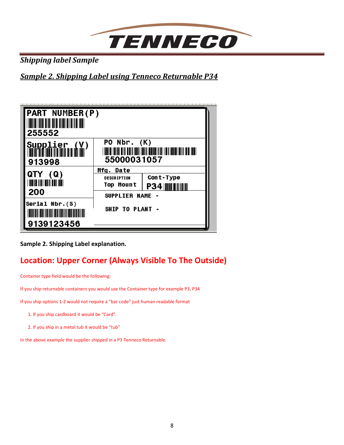

*Shipping label Sample* 

*Sample 2. Shipping Label using Tenneco Returnable P34* 



**Sample 2. Shipping Label explanation.** 

# **Location: Upper Corner (Always Visible To The Outside)**

Container type field would be the following:

If you ship returnable containers you would use the Container type for example P3, P34

If you ship options 1-2 would not require a "bar code" just human readable format

1. If you ship cardboard it would be "Card".

2. If you ship in a metal tub it would be "tub"

In the above example the supplier shipped in a P3 Tenneco Returnable.